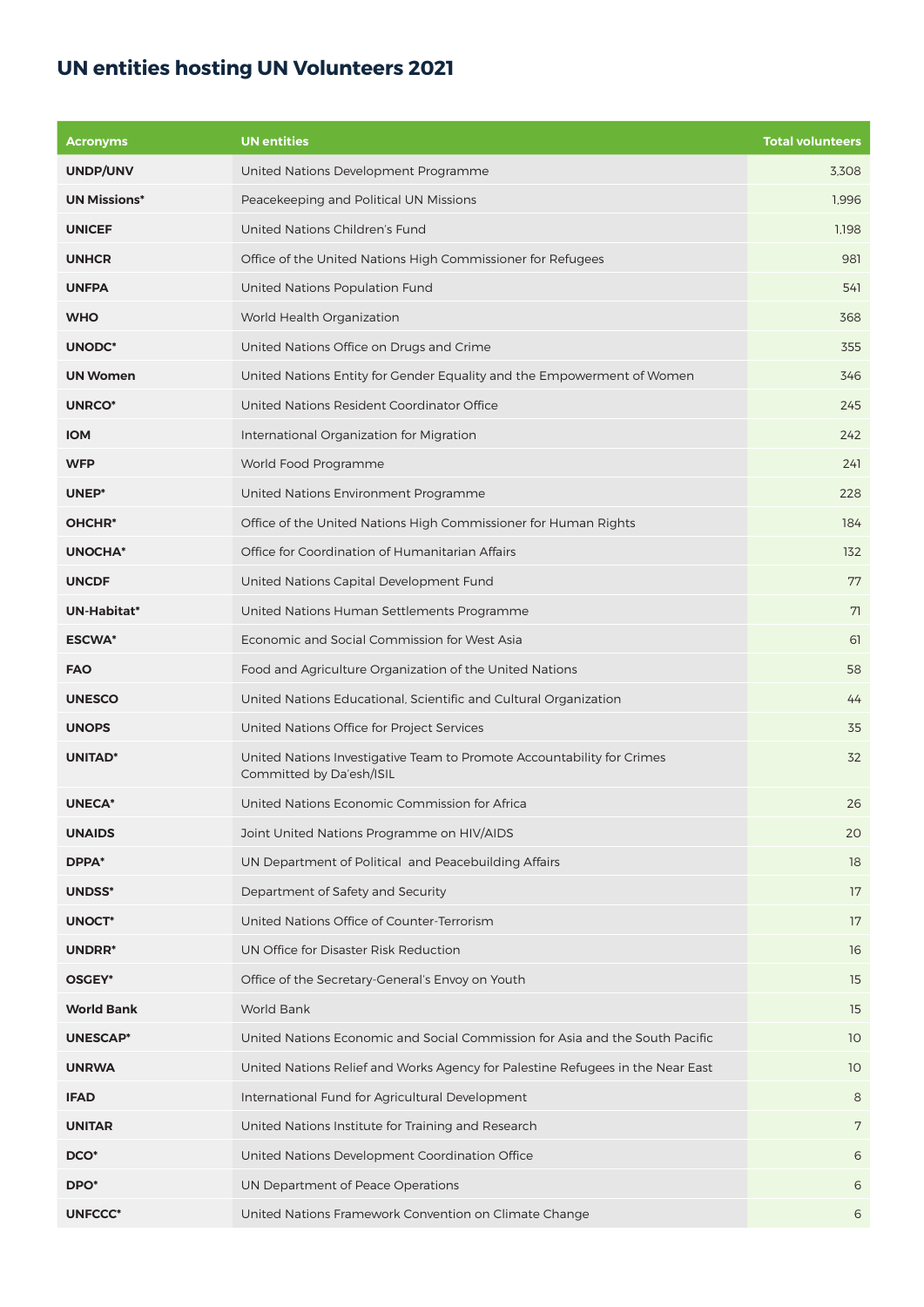## **UN entities hosting UN Volunteers 2021**

| <b>Acronyms</b>     | <b>UN</b> entities                                                                                 | <b>Total volunteers</b> |
|---------------------|----------------------------------------------------------------------------------------------------|-------------------------|
| UNDP/UNV            | United Nations Development Programme                                                               | 3,308                   |
| <b>UN Missions*</b> | Peacekeeping and Political UN Missions                                                             | 1,996                   |
| <b>UNICEF</b>       | United Nations Children's Fund                                                                     | 1.198                   |
| <b>UNHCR</b>        | Office of the United Nations High Commissioner for Refugees                                        | 981                     |
| <b>UNFPA</b>        | United Nations Population Fund                                                                     | 541                     |
| <b>WHO</b>          | World Health Organization                                                                          | 368                     |
| <b>UNODC*</b>       | United Nations Office on Drugs and Crime                                                           | 355                     |
| <b>UN Women</b>     | United Nations Entity for Gender Equality and the Empowerment of Women                             | 346                     |
| <b>UNRCO*</b>       | United Nations Resident Coordinator Office                                                         | 245                     |
| <b>IOM</b>          | International Organization for Migration                                                           | 242                     |
| <b>WFP</b>          | World Food Programme                                                                               | 241                     |
| UNEP*               | United Nations Environment Programme                                                               | 228                     |
| OHCHR <sup>*</sup>  | Office of the United Nations High Commissioner for Human Rights                                    | 184                     |
| <b>UNOCHA*</b>      | Office for Coordination of Humanitarian Affairs                                                    | 132                     |
| <b>UNCDF</b>        | United Nations Capital Development Fund                                                            | 77                      |
| UN-Habitat*         | United Nations Human Settlements Programme                                                         | 71                      |
| <b>ESCWA*</b>       | Economic and Social Commission for West Asia                                                       | 61                      |
| <b>FAO</b>          | Food and Agriculture Organization of the United Nations                                            | 58                      |
| <b>UNESCO</b>       | United Nations Educational, Scientific and Cultural Organization                                   | 44                      |
| <b>UNOPS</b>        | United Nations Office for Project Services                                                         | 35                      |
| <b>UNITAD*</b>      | United Nations Investigative Team to Promote Accountability for Crimes<br>Committed by Da'esh/ISIL | 32                      |
| <b>UNECA*</b>       | United Nations Economic Commission for Africa                                                      | 26                      |
| <b>UNAIDS</b>       | Joint United Nations Programme on HIV/AIDS                                                         | 20                      |
| DPPA*               | UN Department of Political and Peacebuilding Affairs                                               | 18                      |
| <b>UNDSS*</b>       | Department of Safety and Security                                                                  | 17                      |
| UNOCT*              | United Nations Office of Counter-Terrorism                                                         | 17                      |
| UNDRR*              | UN Office for Disaster Risk Reduction                                                              | 16                      |
| OSGEY*              | Office of the Secretary-General's Envoy on Youth                                                   | 15                      |
| <b>World Bank</b>   | <b>World Bank</b>                                                                                  | 15                      |
| <b>UNESCAP*</b>     | United Nations Economic and Social Commission for Asia and the South Pacific                       | 10                      |
| <b>UNRWA</b>        | United Nations Relief and Works Agency for Palestine Refugees in the Near East                     | 10                      |
| <b>IFAD</b>         | International Fund for Agricultural Development                                                    | 8                       |
| <b>UNITAR</b>       | United Nations Institute for Training and Research                                                 | 7                       |
| DCO <sup>*</sup>    | United Nations Development Coordination Office                                                     | 6                       |
| DPO <sup>*</sup>    | UN Department of Peace Operations                                                                  | 6                       |
| <b>UNFCCC*</b>      | United Nations Framework Convention on Climate Change                                              | 6                       |